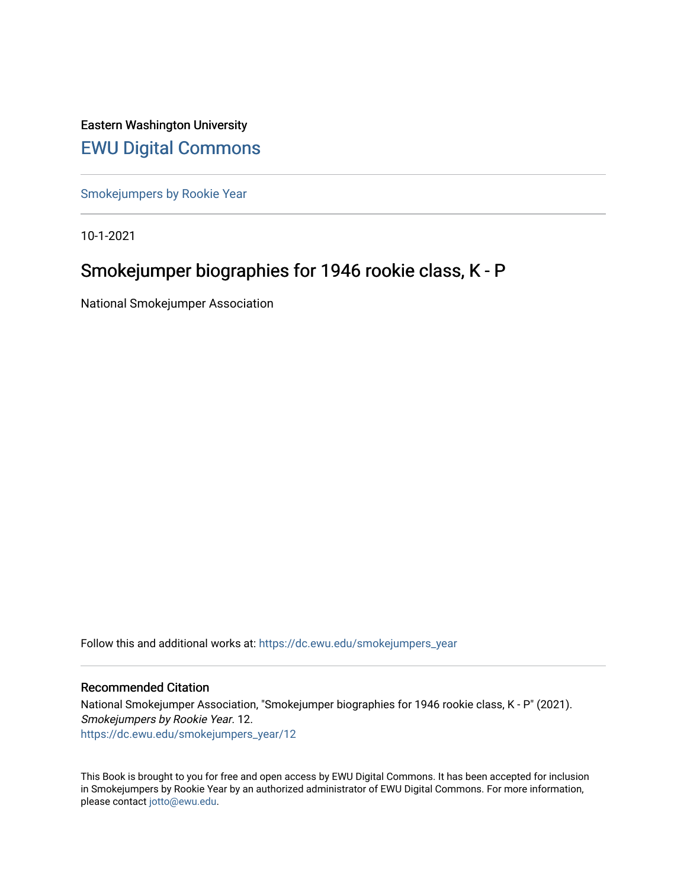Eastern Washington University [EWU Digital Commons](https://dc.ewu.edu/)

[Smokejumpers by Rookie Year](https://dc.ewu.edu/smokejumpers_year)

10-1-2021

# Smokejumper biographies for 1946 rookie class, K - P

National Smokejumper Association

Follow this and additional works at: [https://dc.ewu.edu/smokejumpers\\_year](https://dc.ewu.edu/smokejumpers_year?utm_source=dc.ewu.edu%2Fsmokejumpers_year%2F12&utm_medium=PDF&utm_campaign=PDFCoverPages) 

#### Recommended Citation

National Smokejumper Association, "Smokejumper biographies for 1946 rookie class, K - P" (2021). Smokejumpers by Rookie Year. 12. [https://dc.ewu.edu/smokejumpers\\_year/12](https://dc.ewu.edu/smokejumpers_year/12?utm_source=dc.ewu.edu%2Fsmokejumpers_year%2F12&utm_medium=PDF&utm_campaign=PDFCoverPages)

This Book is brought to you for free and open access by EWU Digital Commons. It has been accepted for inclusion in Smokejumpers by Rookie Year by an authorized administrator of EWU Digital Commons. For more information, please contact [jotto@ewu.edu](mailto:jotto@ewu.edu).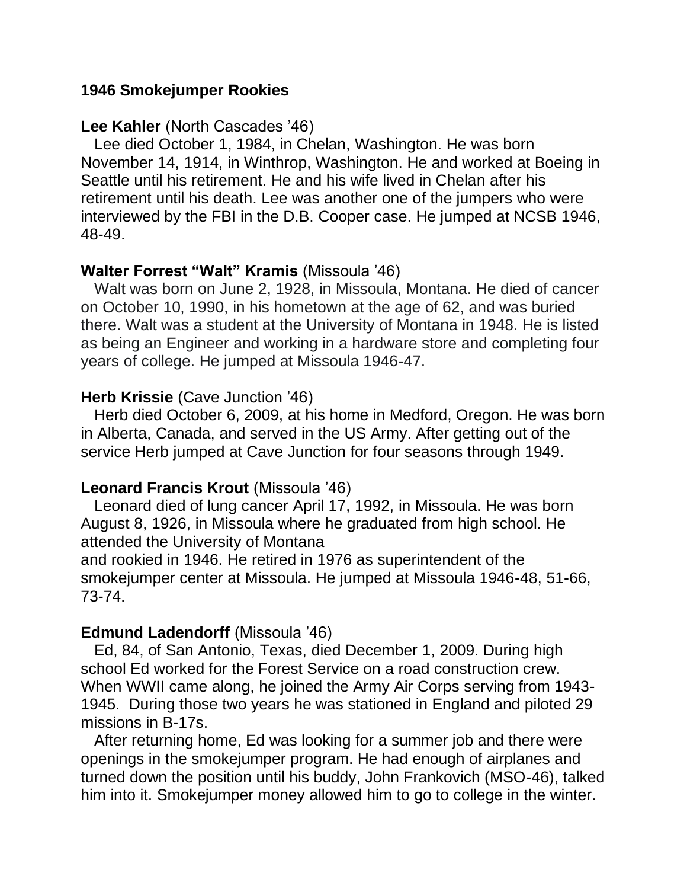### **1946 Smokejumper Rookies**

### **Lee Kahler** (North Cascades '46)

 Lee died October 1, 1984, in Chelan, Washington. He was born November 14, 1914, in Winthrop, Washington. He and worked at Boeing in Seattle until his retirement. He and his wife lived in Chelan after his retirement until his death. Lee was another one of the jumpers who were interviewed by the FBI in the D.B. Cooper case. He jumped at NCSB 1946, 48-49.

### **Walter Forrest "Walt" Kramis** (Missoula '46)

 Walt was born on June 2, 1928, in Missoula, Montana. He died of cancer on October 10, 1990, in his hometown at the age of 62, and was buried there. Walt was a student at the University of Montana in 1948. He is listed as being an Engineer and working in a hardware store and completing four years of college. He jumped at Missoula 1946-47.

### **Herb Krissie** (Cave Junction '46)

 Herb died October 6, 2009, at his home in Medford, Oregon. He was born in Alberta, Canada, and served in the US Army. After getting out of the service Herb jumped at Cave Junction for four seasons through 1949.

### **Leonard Francis Krout** (Missoula '46)

 Leonard died of lung cancer April 17, 1992, in Missoula. He was born August 8, 1926, in Missoula where he graduated from high school. He attended the University of Montana

and rookied in 1946. He retired in 1976 as superintendent of the smokejumper center at Missoula. He jumped at Missoula 1946-48, 51-66, 73-74.

### **Edmund Ladendorff** (Missoula '46)

 Ed, 84, of San Antonio, Texas, died December 1, 2009. During high school Ed worked for the Forest Service on a road construction crew. When WWII came along, he joined the Army Air Corps serving from 1943- 1945. During those two years he was stationed in England and piloted 29 missions in B-17s.

 After returning home, Ed was looking for a summer job and there were openings in the smokejumper program. He had enough of airplanes and turned down the position until his buddy, John Frankovich (MSO-46), talked him into it. Smokejumper money allowed him to go to college in the winter.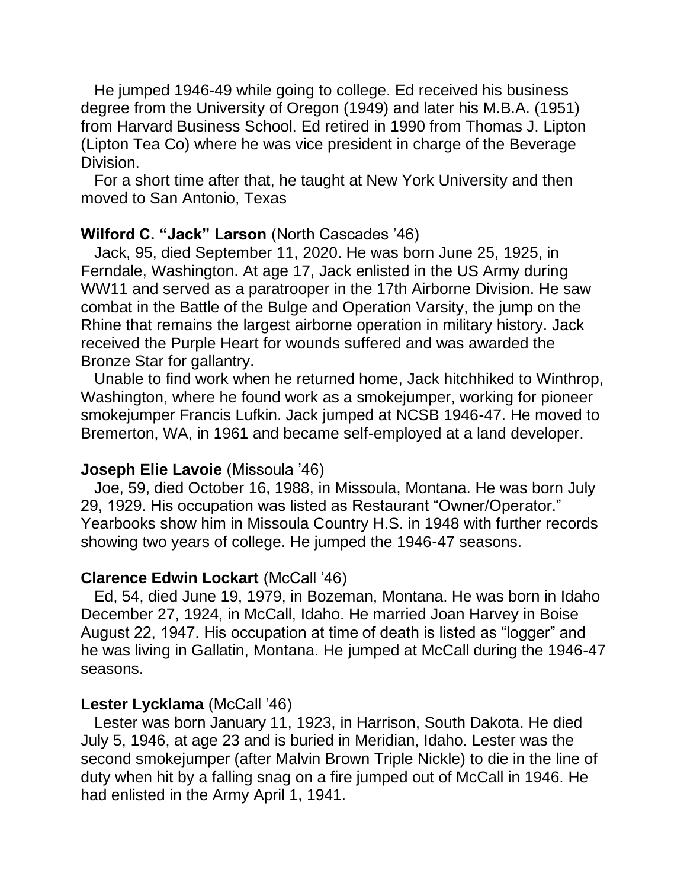He jumped 1946-49 while going to college. Ed received his business degree from the University of Oregon (1949) and later his M.B.A. (1951) from Harvard Business School. Ed retired in 1990 from Thomas J. Lipton (Lipton Tea Co) where he was vice president in charge of the Beverage Division.

 For a short time after that, he taught at New York University and then moved to San Antonio, Texas

### **Wilford C. "Jack" Larson** (North Cascades '46)

 Jack, 95, died September 11, 2020. He was born June 25, 1925, in Ferndale, Washington. At age 17, Jack enlisted in the US Army during WW11 and served as a paratrooper in the 17th Airborne Division. He saw combat in the Battle of the Bulge and Operation Varsity, the jump on the Rhine that remains the largest airborne operation in military history. Jack received the Purple Heart for wounds suffered and was awarded the Bronze Star for gallantry.

 Unable to find work when he returned home, Jack hitchhiked to Winthrop, Washington, where he found work as a smokejumper, working for pioneer smokejumper Francis Lufkin. Jack jumped at NCSB 1946-47. He moved to Bremerton, WA, in 1961 and became self-employed at a land developer.

## **Joseph Elie Lavoie** (Missoula '46)

 Joe, 59, died October 16, 1988, in Missoula, Montana. He was born July 29, 1929. His occupation was listed as Restaurant "Owner/Operator." Yearbooks show him in Missoula Country H.S. in 1948 with further records showing two years of college. He jumped the 1946-47 seasons.

## **Clarence Edwin Lockart** (McCall '46)

 Ed, 54, died June 19, 1979, in Bozeman, Montana. He was born in Idaho December 27, 1924, in McCall, Idaho. He married Joan Harvey in Boise August 22, 1947. His occupation at time of death is listed as "logger" and he was living in Gallatin, Montana. He jumped at McCall during the 1946-47 seasons.

## **Lester Lycklama** (McCall '46)

 Lester was born January 11, 1923, in Harrison, South Dakota. He died July 5, 1946, at age 23 and is buried in Meridian, Idaho. Lester was the second smokejumper (after Malvin Brown Triple Nickle) to die in the line of duty when hit by a falling snag on a fire jumped out of McCall in 1946. He had enlisted in the Army April 1, 1941.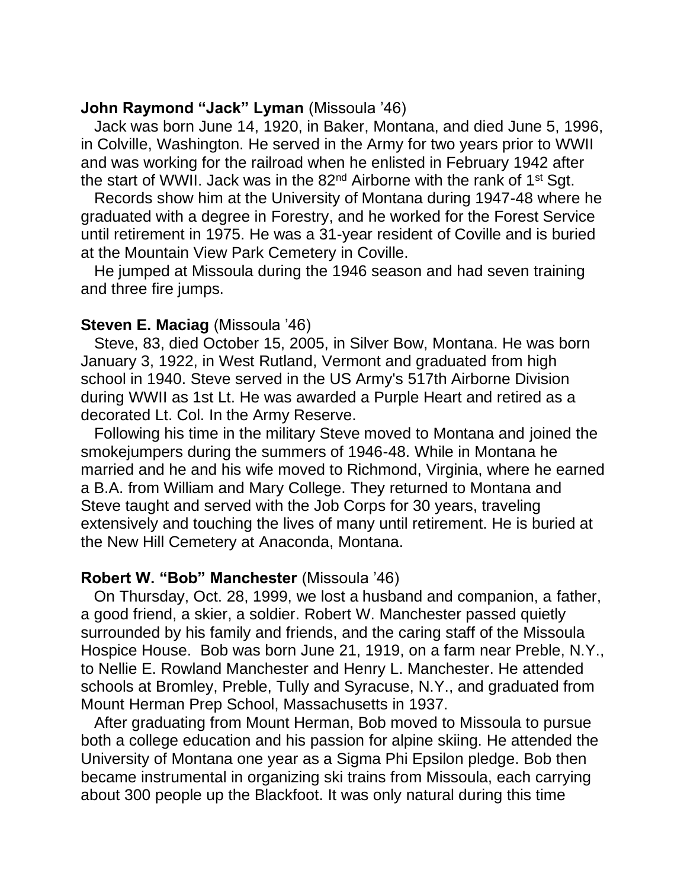### **John Raymond "Jack" Lyman** (Missoula '46)

 Jack was born June 14, 1920, in Baker, Montana, and died June 5, 1996, in Colville, Washington. He served in the Army for two years prior to WWII and was working for the railroad when he enlisted in February 1942 after the start of WWII. Jack was in the  $82<sup>nd</sup>$  Airborne with the rank of 1<sup>st</sup> Sgt.

 Records show him at the University of Montana during 1947-48 where he graduated with a degree in Forestry, and he worked for the Forest Service until retirement in 1975. He was a 31-year resident of Coville and is buried at the Mountain View Park Cemetery in Coville.

 He jumped at Missoula during the 1946 season and had seven training and three fire jumps.

### **Steven E. Maciag (Missoula '46)**

 Steve, 83, died October 15, 2005, in Silver Bow, Montana. He was born January 3, 1922, in West Rutland, Vermont and graduated from high school in 1940. Steve served in the US Army's 517th Airborne Division during WWII as 1st Lt. He was awarded a Purple Heart and retired as a decorated Lt. Col. In the Army Reserve.

 Following his time in the military Steve moved to Montana and joined the smokejumpers during the summers of 1946-48. While in Montana he married and he and his wife moved to Richmond, Virginia, where he earned a B.A. from William and Mary College. They returned to Montana and Steve taught and served with the Job Corps for 30 years, traveling extensively and touching the lives of many until retirement. He is buried at the New Hill Cemetery at Anaconda, Montana.

### **Robert W. "Bob" Manchester** (Missoula '46)

 On Thursday, Oct. 28, 1999, we lost a husband and companion, a father, a good friend, a skier, a soldier. Robert W. Manchester passed quietly surrounded by his family and friends, and the caring staff of the Missoula Hospice House. Bob was born June 21, 1919, on a farm near Preble, N.Y., to Nellie E. Rowland Manchester and Henry L. Manchester. He attended schools at Bromley, Preble, Tully and Syracuse, N.Y., and graduated from Mount Herman Prep School, Massachusetts in 1937.

 After graduating from Mount Herman, Bob moved to Missoula to pursue both a college education and his passion for alpine skiing. He attended the University of Montana one year as a Sigma Phi Epsilon pledge. Bob then became instrumental in organizing ski trains from Missoula, each carrying about 300 people up the Blackfoot. It was only natural during this time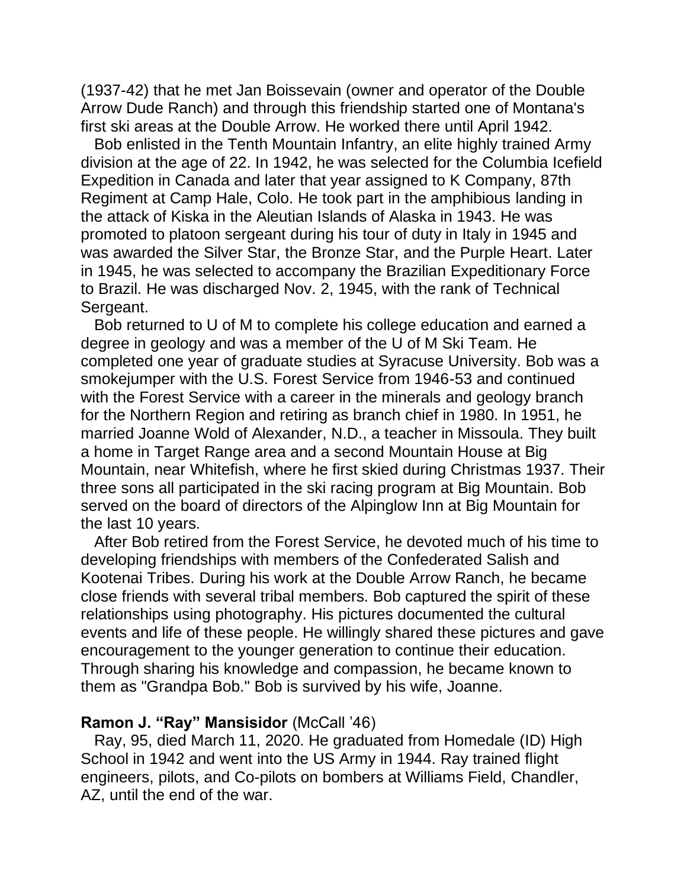(1937-42) that he met Jan Boissevain (owner and operator of the Double Arrow Dude Ranch) and through this friendship started one of Montana's first ski areas at the Double Arrow. He worked there until April 1942.

 Bob enlisted in the Tenth Mountain Infantry, an elite highly trained Army division at the age of 22. In 1942, he was selected for the Columbia Icefield Expedition in Canada and later that year assigned to K Company, 87th Regiment at Camp Hale, Colo. He took part in the amphibious landing in the attack of Kiska in the Aleutian Islands of Alaska in 1943. He was promoted to platoon sergeant during his tour of duty in Italy in 1945 and was awarded the Silver Star, the Bronze Star, and the Purple Heart. Later in 1945, he was selected to accompany the Brazilian Expeditionary Force to Brazil. He was discharged Nov. 2, 1945, with the rank of Technical Sergeant.

 Bob returned to U of M to complete his college education and earned a degree in geology and was a member of the U of M Ski Team. He completed one year of graduate studies at Syracuse University. Bob was a smokejumper with the U.S. Forest Service from 1946-53 and continued with the Forest Service with a career in the minerals and geology branch for the Northern Region and retiring as branch chief in 1980. In 1951, he married Joanne Wold of Alexander, N.D., a teacher in Missoula. They built a home in Target Range area and a second Mountain House at Big Mountain, near Whitefish, where he first skied during Christmas 1937. Their three sons all participated in the ski racing program at Big Mountain. Bob served on the board of directors of the Alpinglow Inn at Big Mountain for the last 10 years.

 After Bob retired from the Forest Service, he devoted much of his time to developing friendships with members of the Confederated Salish and Kootenai Tribes. During his work at the Double Arrow Ranch, he became close friends with several tribal members. Bob captured the spirit of these relationships using photography. His pictures documented the cultural events and life of these people. He willingly shared these pictures and gave encouragement to the younger generation to continue their education. Through sharing his knowledge and compassion, he became known to them as "Grandpa Bob." Bob is survived by his wife, Joanne.

### **Ramon J. "Ray" Mansisidor** (McCall '46)

 Ray, 95, died March 11, 2020. He graduated from Homedale (ID) High School in 1942 and went into the US Army in 1944. Ray trained flight engineers, pilots, and Co-pilots on bombers at Williams Field, Chandler, AZ, until the end of the war.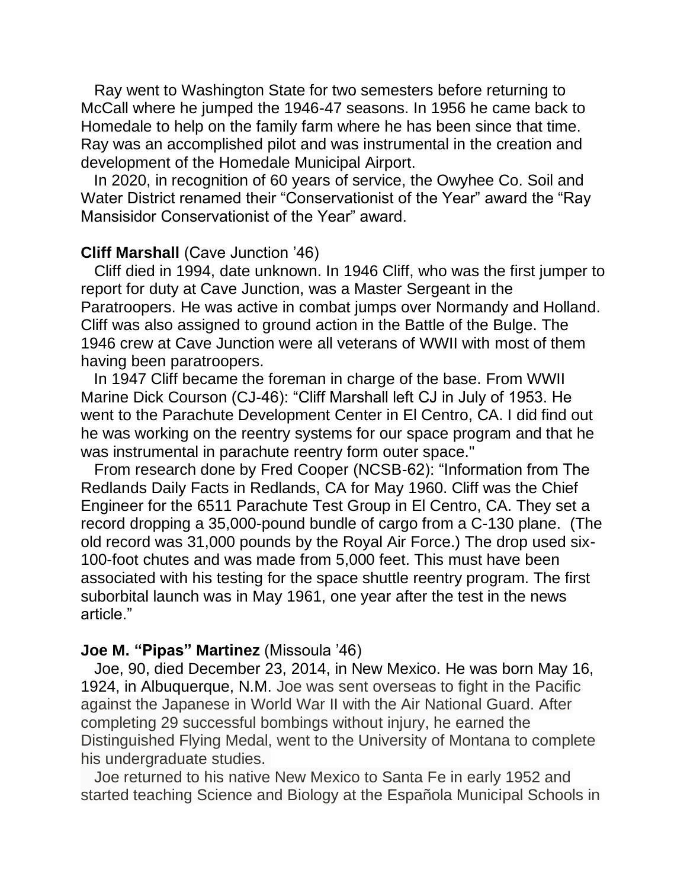Ray went to Washington State for two semesters before returning to McCall where he jumped the 1946-47 seasons. In 1956 he came back to Homedale to help on the family farm where he has been since that time. Ray was an accomplished pilot and was instrumental in the creation and development of the Homedale Municipal Airport.

 In 2020, in recognition of 60 years of service, the Owyhee Co. Soil and Water District renamed their "Conservationist of the Year" award the "Ray Mansisidor Conservationist of the Year" award.

#### **Cliff Marshall** (Cave Junction '46)

 Cliff died in 1994, date unknown. In 1946 Cliff, who was the first jumper to report for duty at Cave Junction, was a Master Sergeant in the Paratroopers. He was active in combat jumps over Normandy and Holland. Cliff was also assigned to ground action in the Battle of the Bulge. The 1946 crew at Cave Junction were all veterans of WWII with most of them having been paratroopers.

 In 1947 Cliff became the foreman in charge of the base. From WWII Marine Dick Courson (CJ-46): "Cliff Marshall left CJ in July of 1953. He went to the Parachute Development Center in El Centro, CA. I did find out he was working on the reentry systems for our space program and that he was instrumental in parachute reentry form outer space."

 From research done by Fred Cooper (NCSB-62): "Information from The Redlands Daily Facts in Redlands, CA for May 1960. Cliff was the Chief Engineer for the 6511 Parachute Test Group in El Centro, CA. They set a record dropping a 35,000-pound bundle of cargo from a C-130 plane. (The old record was 31,000 pounds by the Royal Air Force.) The drop used six-100-foot chutes and was made from 5,000 feet. This must have been associated with his testing for the space shuttle reentry program. The first suborbital launch was in May 1961, one year after the test in the news article."

#### **Joe M. "Pipas" Martinez** (Missoula '46)

 Joe, 90, died December 23, 2014, in New Mexico. He was born May 16, 1924, in Albuquerque, N.M. Joe was sent overseas to fight in the Pacific against the Japanese in World War II with the Air National Guard. After completing 29 successful bombings without injury, he earned the Distinguished Flying Medal, went to the University of Montana to complete his undergraduate studies.

 Joe returned to his native New Mexico to Santa Fe in early 1952 and started teaching Science and Biology at the Española Municipal Schools in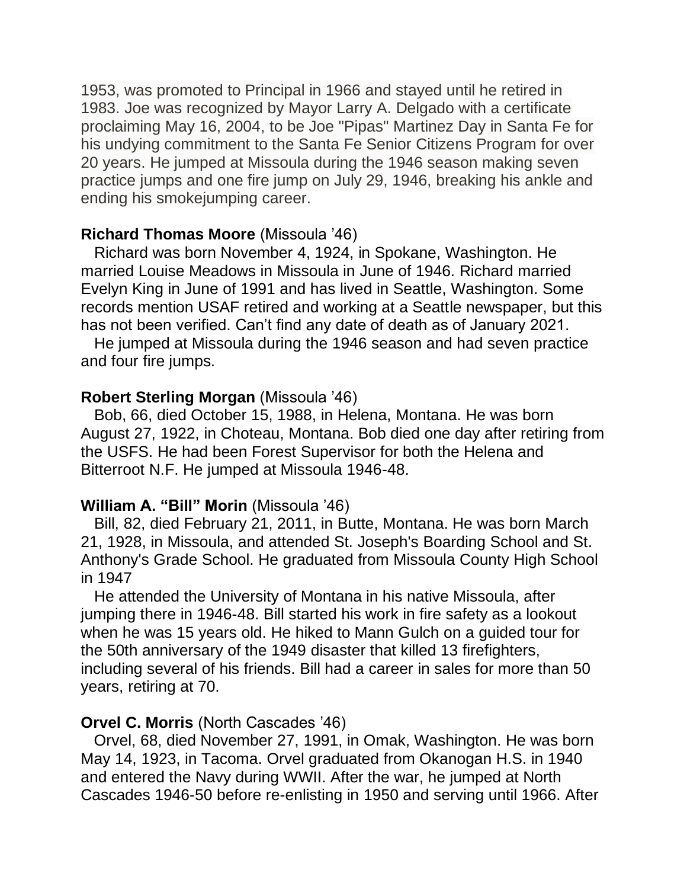1953, was promoted to Principal in 1966 and stayed until he retired in 1983. Joe was recognized by Mayor Larry A. Delgado with a certificate proclaiming May 16, 2004, to be Joe "Pipas" Martinez Day in Santa Fe for his undying commitment to the Santa Fe Senior Citizens Program for over 20 years. He jumped at Missoula during the 1946 season making seven practice jumps and one fire jump on July 29, 1946, breaking his ankle and ending his smokejumping career.

### **Richard Thomas Moore** (Missoula '46)

 Richard was born November 4, 1924, in Spokane, Washington. He married Louise Meadows in Missoula in June of 1946. Richard married Evelyn King in June of 1991 and has lived in Seattle, Washington. Some records mention USAF retired and working at a Seattle newspaper, but this has not been verified. Can't find any date of death as of January 2021.

 He jumped at Missoula during the 1946 season and had seven practice and four fire jumps.

### **Robert Sterling Morgan** (Missoula '46)

 Bob, 66, died October 15, 1988, in Helena, Montana. He was born August 27, 1922, in Choteau, Montana. Bob died one day after retiring from the USFS. He had been Forest Supervisor for both the Helena and Bitterroot N.F. He jumped at Missoula 1946-48.

## **William A. "Bill" Morin** (Missoula '46)

 Bill, 82, died February 21, 2011, in Butte, Montana. He was born March 21, 1928, in Missoula, and attended St. Joseph's Boarding School and St. Anthony's Grade School. He graduated from Missoula County High School in 1947

 He attended the University of Montana in his native Missoula, after jumping there in 1946-48. Bill started his work in fire safety as a lookout when he was 15 years old. He hiked to Mann Gulch on a guided tour for the 50th anniversary of the 1949 disaster that killed 13 firefighters, including several of his friends. Bill had a career in sales for more than 50 years, retiring at 70.

## **Orvel C. Morris** (North Cascades '46)

 Orvel, 68, died November 27, 1991, in Omak, Washington. He was born May 14, 1923, in Tacoma. Orvel graduated from Okanogan H.S. in 1940 and entered the Navy during WWII. After the war, he jumped at North Cascades 1946-50 before re-enlisting in 1950 and serving until 1966. After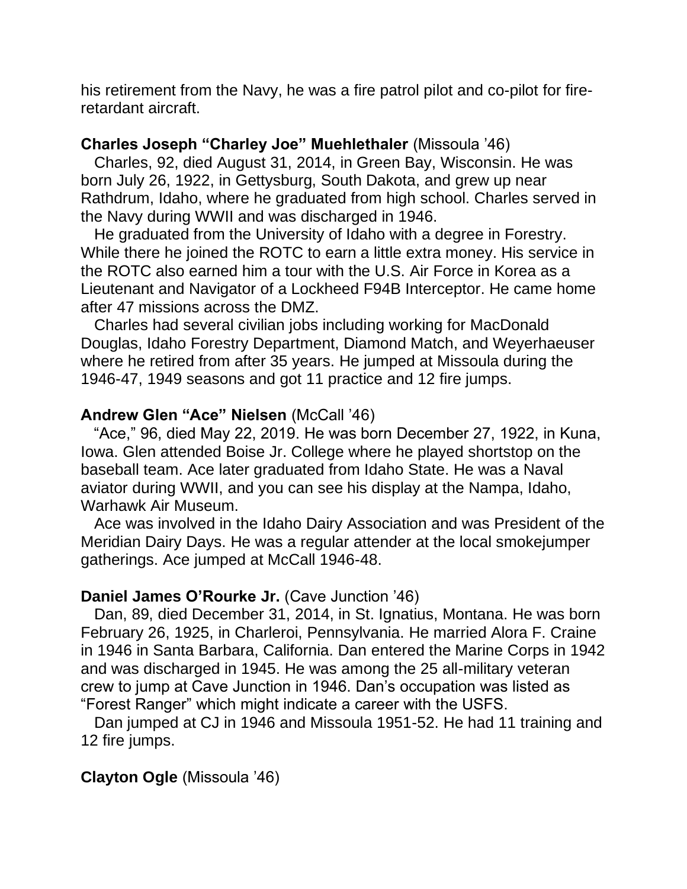his retirement from the Navy, he was a fire patrol pilot and co-pilot for fireretardant aircraft.

### **Charles Joseph "Charley Joe" Muehlethaler** (Missoula '46)

 Charles, 92, died August 31, 2014, in Green Bay, Wisconsin. He was born July 26, 1922, in Gettysburg, South Dakota, and grew up near Rathdrum, Idaho, where he graduated from high school. Charles served in the Navy during WWII and was discharged in 1946.

 He graduated from the University of Idaho with a degree in Forestry. While there he joined the ROTC to earn a little extra money. His service in the ROTC also earned him a tour with the U.S. Air Force in Korea as a Lieutenant and Navigator of a Lockheed F94B Interceptor. He came home after 47 missions across the DMZ.

 Charles had several civilian jobs including working for MacDonald Douglas, Idaho Forestry Department, Diamond Match, and Weyerhaeuser where he retired from after 35 years. He jumped at Missoula during the 1946-47, 1949 seasons and got 11 practice and 12 fire jumps.

### **Andrew Glen "Ace" Nielsen** (McCall '46)

 "Ace," 96, died May 22, 2019. He was born December 27, 1922, in Kuna, Iowa. Glen attended Boise Jr. College where he played shortstop on the baseball team. Ace later graduated from Idaho State. He was a Naval aviator during WWII, and you can see his display at the Nampa, Idaho, Warhawk Air Museum.

 Ace was involved in the Idaho Dairy Association and was President of the Meridian Dairy Days. He was a regular attender at the local smokejumper gatherings. Ace jumped at McCall 1946-48.

### **Daniel James O'Rourke Jr.** (Cave Junction '46)

 Dan, 89, died December 31, 2014, in St. Ignatius, Montana. He was born February 26, 1925, in Charleroi, Pennsylvania. He married Alora F. Craine in 1946 in Santa Barbara, California. Dan entered the Marine Corps in 1942 and was discharged in 1945. He was among the 25 all-military veteran crew to jump at Cave Junction in 1946. Dan's occupation was listed as "Forest Ranger" which might indicate a career with the USFS.

 Dan jumped at CJ in 1946 and Missoula 1951-52. He had 11 training and 12 fire jumps.

## **Clayton Ogle** (Missoula '46)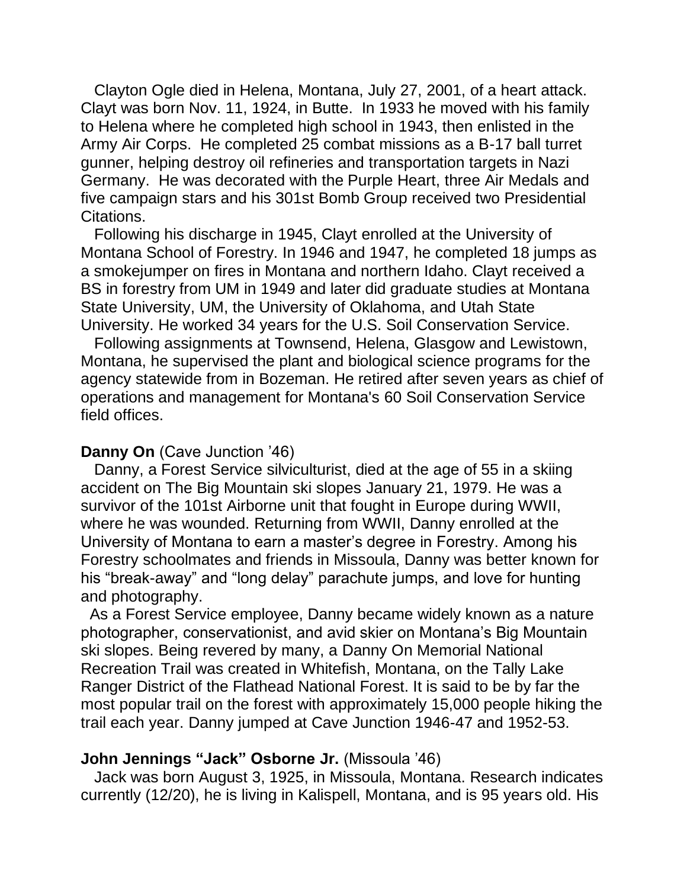Clayton Ogle died in Helena, Montana, July 27, 2001, of a heart attack. Clayt was born Nov. 11, 1924, in Butte. In 1933 he moved with his family to Helena where he completed high school in 1943, then enlisted in the Army Air Corps. He completed 25 combat missions as a B-17 ball turret gunner, helping destroy oil refineries and transportation targets in Nazi Germany. He was decorated with the Purple Heart, three Air Medals and five campaign stars and his 301st Bomb Group received two Presidential Citations.

 Following his discharge in 1945, Clayt enrolled at the University of Montana School of Forestry. In 1946 and 1947, he completed 18 jumps as a smokejumper on fires in Montana and northern Idaho. Clayt received a BS in forestry from UM in 1949 and later did graduate studies at Montana State University, UM, the University of Oklahoma, and Utah State University. He worked 34 years for the U.S. Soil Conservation Service.

 Following assignments at Townsend, Helena, Glasgow and Lewistown, Montana, he supervised the plant and biological science programs for the agency statewide from in Bozeman. He retired after seven years as chief of operations and management for Montana's 60 Soil Conservation Service field offices.

#### **Danny On** (Cave Junction '46)

 Danny, a Forest Service silviculturist, died at the age of 55 in a skiing accident on The Big Mountain ski slopes January 21, 1979. He was a survivor of the 101st Airborne unit that fought in Europe during WWII, where he was wounded. Returning from WWII, Danny enrolled at the University of Montana to earn a master's degree in Forestry. Among his Forestry schoolmates and friends in Missoula, Danny was better known for his "break-away" and "long delay" parachute jumps, and love for hunting and photography.

 As a Forest Service employee, Danny became widely known as a nature photographer, conservationist, and avid skier on Montana's Big Mountain ski slopes. Being revered by many, a Danny On Memorial National Recreation Trail was created in Whitefish, Montana, on the Tally Lake Ranger District of the Flathead National Forest. It is said to be by far the most popular trail on the forest with approximately 15,000 people hiking the trail each year. Danny jumped at Cave Junction 1946-47 and 1952-53.

### **John Jennings "Jack" Osborne Jr.** (Missoula '46)

 Jack was born August 3, 1925, in Missoula, Montana. Research indicates currently (12/20), he is living in Kalispell, Montana, and is 95 years old. His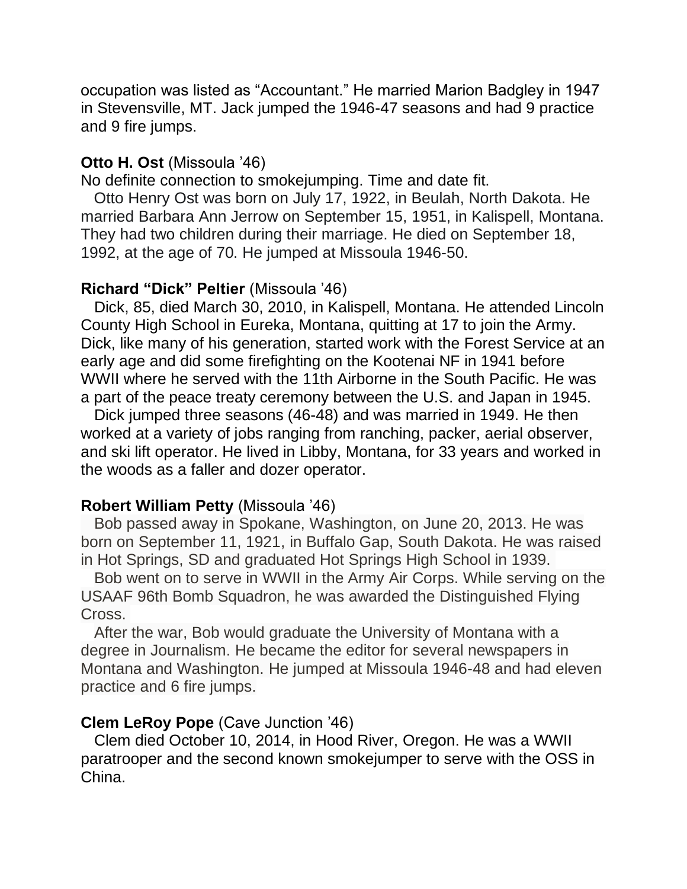occupation was listed as "Accountant." He married Marion Badgley in 1947 in Stevensville, MT. Jack jumped the 1946-47 seasons and had 9 practice and 9 fire jumps.

### **Otto H. Ost** (Missoula '46)

No definite connection to smokejumping. Time and date fit.

 Otto Henry Ost was born on July 17, 1922, in Beulah, North Dakota. He married Barbara Ann Jerrow on September 15, 1951, in Kalispell, Montana. They had two children during their marriage. He died on September 18, 1992, at the age of 70. He jumped at Missoula 1946-50.

### **Richard "Dick" Peltier** (Missoula '46)

 Dick, 85, died March 30, 2010, in Kalispell, Montana. He attended Lincoln County High School in Eureka, Montana, quitting at 17 to join the Army. Dick, like many of his generation, started work with the Forest Service at an early age and did some firefighting on the Kootenai NF in 1941 before WWII where he served with the 11th Airborne in the South Pacific. He was a part of the peace treaty ceremony between the U.S. and Japan in 1945.

 Dick jumped three seasons (46-48) and was married in 1949. He then worked at a variety of jobs ranging from ranching, packer, aerial observer, and ski lift operator. He lived in Libby, Montana, for 33 years and worked in the woods as a faller and dozer operator.

#### **Robert William Petty** (Missoula '46)

 Bob passed away in Spokane, Washington, on June 20, 2013. He was born on September 11, 1921, in Buffalo Gap, South Dakota. He was raised in Hot Springs, SD and graduated Hot Springs High School in 1939.

 Bob went on to serve in WWII in the Army Air Corps. While serving on the USAAF 96th Bomb Squadron, he was awarded the Distinguished Flying Cross.

 After the war, Bob would graduate the University of Montana with a degree in Journalism. He became the editor for several newspapers in Montana and Washington. He jumped at Missoula 1946-48 and had eleven practice and 6 fire jumps.

#### **Clem LeRoy Pope** (Cave Junction '46)

 Clem died October 10, 2014, in Hood River, Oregon. He was a WWII paratrooper and the second known smokejumper to serve with the OSS in China.